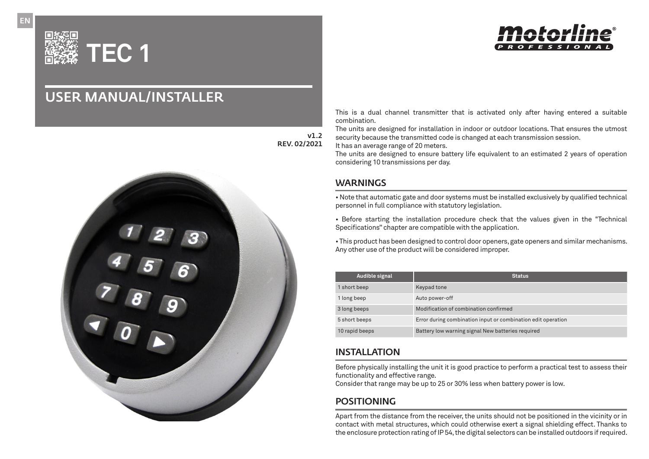

# USER MANUAL/INSTALLER



v1.2 REV. 02/2021 This is a dual channel transmitter that is activated only after having entered a suitable combination.

The units are designed for installation in indoor or outdoor locations. That ensures the utmost security because the transmitted code is changed at each transmission session.

It has an average range of 20 meters.

The units are designed to ensure battery life equivalent to an estimated 2 years of operation considering 10 transmissions per day.

## **WARNINGS**

• Note that automatic gate and door systems must be installed exclusively by qualified technical personnel in full compliance with statutory legislation.

• Before starting the installation procedure check that the values given in the "Technical Specifications" chapter are compatible with the application.

• This product has been designed to control door openers, gate openers and similar mechanisms. Any other use of the product will be considered improper.

| Audible signal | <b>Status</b>                                                |
|----------------|--------------------------------------------------------------|
| 1 short beep   | Keypad tone                                                  |
| 1 long beep    | Auto power-off                                               |
| 3 long beeps   | Modification of combination confirmed                        |
| 5 short beeps  | Error during combination input or combination edit operation |
| 10 rapid beeps | Battery low warning signal New batteries required            |

## INSTALLATION

Before physically installing the unit it is good practice to perform a practical test to assess their functionality and effective range.

Consider that range may be up to 25 or 30% less when battery power is low.

## POSITIONING

Apart from the distance from the receiver, the units should not be positioned in the vicinity or in contact with metal structures, which could otherwise exert a signal shielding effect. Thanks to the enclosure protection rating of IP 54, the digital selectors can be installed outdoors if required.